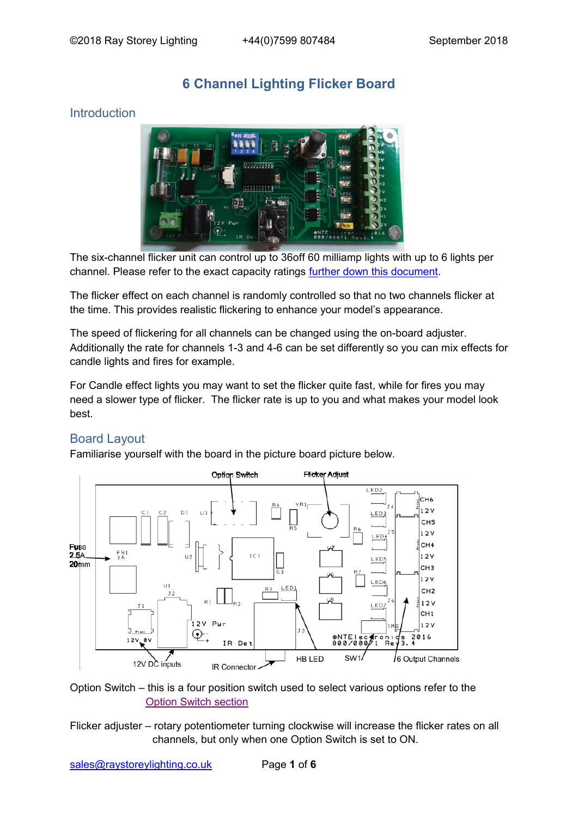# **6 Channel Lighting Flicker Board**

# Introduction



The six-channel flicker unit can control up to 36off 60 milliamp lights with up to 6 lights per channel. Please refer to the exact capacity ratings further down this document.

The flicker effect on each channel is randomly controlled so that no two channels flicker at the time. This provides realistic flickering to enhance your model's appearance.

The speed of flickering for all channels can be changed using the on-board adjuster. Additionally the rate for channels 1-3 and 4-6 can be set differently so you can mix effects for candle lights and fires for example.

For Candle effect lights you may want to set the flicker quite fast, while for fires you may need a slower type of flicker. The flicker rate is up to you and what makes your model look best.

### Board Layout

Familiarise yourself with the board in the picture board picture below.



Option Switch – this is a four position switch used to select various options refer to the [Option Switch section](#page-2-0)

Flicker adjuster – rotary potentiometer turning clockwise will increase the flicker rates on all channels, but only when one Option Switch is set to ON.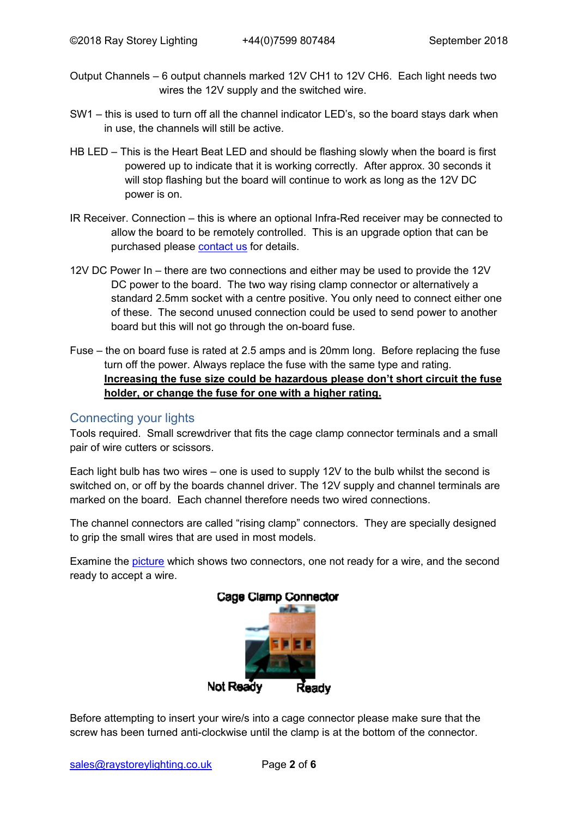- Output Channels 6 output channels marked 12V CH1 to 12V CH6. Each light needs two wires the 12V supply and the switched wire.
- SW1 this is used to turn off all the channel indicator LED's, so the board stays dark when in use, the channels will still be active.
- HB LED This is the Heart Beat LED and should be flashing slowly when the board is first powered up to indicate that it is working correctly. After approx. 30 seconds it will stop flashing but the board will continue to work as long as the 12V DC power is on.
- IR Receiver. Connection this is where an optional Infra-Red receiver may be connected to allow the board to be remotely controlled. This is an upgrade option that can be purchased please [contact us](#page-5-0) for details.
- 12V DC Power In there are two connections and either may be used to provide the 12V DC power to the board. The two way rising clamp connector or alternatively a standard 2.5mm socket with a centre positive. You only need to connect either one of these. The second unused connection could be used to send power to another board but this will not go through the on-board fuse.
- Fuse the on board fuse is rated at 2.5 amps and is 20mm long. Before replacing the fuse turn off the power. Always replace the fuse with the same type and rating. **Increasing the fuse size could be hazardous please don't short circuit the fuse holder, or change the fuse for one with a higher rating.**

#### Connecting your lights

Tools required. Small screwdriver that fits the cage clamp connector terminals and a small pair of wire cutters or scissors.

Each light bulb has two wires – one is used to supply 12V to the bulb whilst the second is switched on, or off by the boards channel driver. The 12V supply and channel terminals are marked on the board. Each channel therefore needs two wired connections.

The channel connectors are called "rising clamp" connectors. They are specially designed to grip the small wires that are used in most models.

Examine the [picture](#page-1-0) which shows two connectors, one not ready for a wire, and the second ready to accept a wire.



<span id="page-1-0"></span>Before attempting to insert your wire/s into a cage connector please make sure that the screw has been turned anti-clockwise until the clamp is at the bottom of the connector.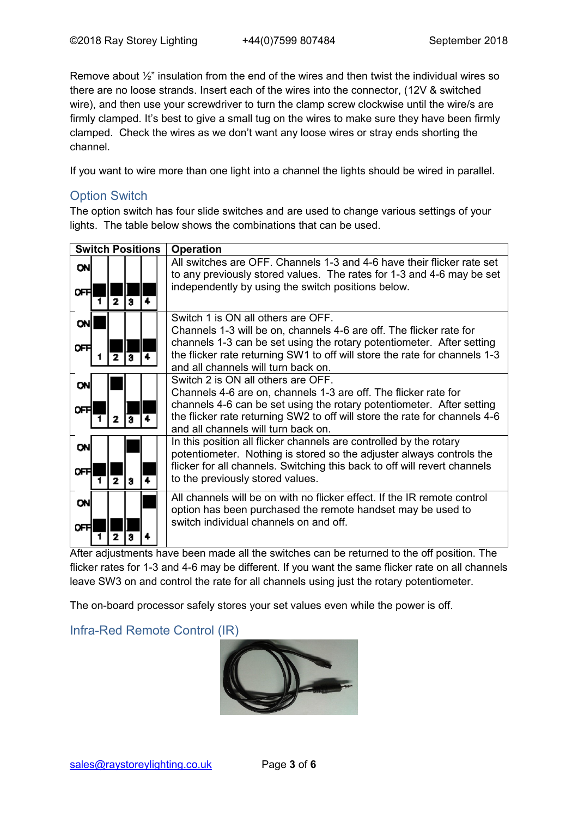Remove about ½" insulation from the end of the wires and then twist the individual wires so there are no loose strands. Insert each of the wires into the connector, (12V & switched wire), and then use your screwdriver to turn the clamp screw clockwise until the wire/s are firmly clamped. It's best to give a small tug on the wires to make sure they have been firmly clamped. Check the wires as we don't want any loose wires or stray ends shorting the channel.

If you want to wire more than one light into a channel the lights should be wired in parallel.

### <span id="page-2-0"></span>Option Switch

The option switch has four slide switches and are used to change various settings of your lights. The table below shows the combinations that can be used.

| <b>Switch Positions</b> |  |                   |   | <b>Operation</b>                                                                                                                                                                                                                                                                                        |
|-------------------------|--|-------------------|---|---------------------------------------------------------------------------------------------------------------------------------------------------------------------------------------------------------------------------------------------------------------------------------------------------------|
| <b>ON</b><br>ᇛ          |  | 2<br>ā            | 4 | All switches are OFF. Channels 1-3 and 4-6 have their flicker rate set<br>to any previously stored values. The rates for 1-3 and 4-6 may be set<br>independently by using the switch positions below.                                                                                                   |
| 에<br>ᅊ                  |  | 2                 | a | Switch 1 is ON all others are OFF.<br>Channels 1-3 will be on, channels 4-6 are off. The flicker rate for<br>channels 1-3 can be set using the rotary potentiometer. After setting<br>the flicker rate returning SW1 to off will store the rate for channels 1-3<br>and all channels will turn back on. |
| <b>ON</b><br>ᅊ          |  | Я<br>2            |   | Switch 2 is ON all others are OFF.<br>Channels 4-6 are on, channels 1-3 are off. The flicker rate for<br>channels 4-6 can be set using the rotary potentiometer. After setting<br>the flicker rate returning SW2 to off will store the rate for channels 4-6<br>and all channels will turn back on.     |
| <b>ON</b><br>ᇛ          |  | $\mathbf{z}$<br>а |   | In this position all flicker channels are controlled by the rotary<br>potentiometer. Nothing is stored so the adjuster always controls the<br>flicker for all channels. Switching this back to off will revert channels<br>to the previously stored values.                                             |
| <b>ON</b><br>ᇛ          |  |                   |   | All channels will be on with no flicker effect. If the IR remote control<br>option has been purchased the remote handset may be used to<br>switch individual channels on and off.                                                                                                                       |

After adjustments have been made all the switches can be returned to the off position. The flicker rates for 1-3 and 4-6 may be different. If you want the same flicker rate on all channels leave SW3 on and control the rate for all channels using just the rotary potentiometer.

The on-board processor safely stores your set values even while the power is off.

### <span id="page-2-1"></span>Infra-Red Remote Control (IR)

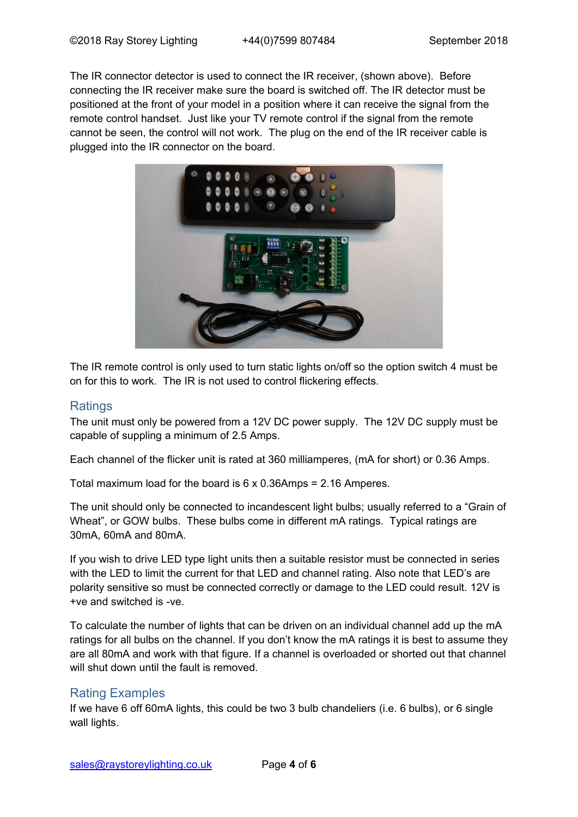The IR connector detector is used to connect the IR receiver, (shown above). Before connecting the IR receiver make sure the board is switched off. The IR detector must be positioned at the front of your model in a position where it can receive the signal from the remote control handset. Just like your TV remote control if the signal from the remote cannot be seen, the control will not work. The plug on the end of the IR receiver cable is plugged into the IR connector on the board.



The IR remote control is only used to turn static lights on/off so the option switch 4 must be on for this to work. The IR is not used to control flickering effects.

#### **Ratings**

The unit must only be powered from a 12V DC power supply. The 12V DC supply must be capable of suppling a minimum of 2.5 Amps.

Each channel of the flicker unit is rated at 360 milliamperes, (mA for short) or 0.36 Amps.

Total maximum load for the board is 6 x 0.36Amps = 2.16 Amperes.

The unit should only be connected to incandescent light bulbs; usually referred to a "Grain of Wheat", or GOW bulbs. These bulbs come in different mA ratings. Typical ratings are 30mA, 60mA and 80mA.

If you wish to drive LED type light units then a suitable resistor must be connected in series with the LED to limit the current for that LED and channel rating. Also note that LED's are polarity sensitive so must be connected correctly or damage to the LED could result. 12V is +ve and switched is -ve.

To calculate the number of lights that can be driven on an individual channel add up the mA ratings for all bulbs on the channel. If you don't know the mA ratings it is best to assume they are all 80mA and work with that figure. If a channel is overloaded or shorted out that channel will shut down until the fault is removed.

### Rating Examples

If we have 6 off 60mA lights, this could be two 3 bulb chandeliers (i.e. 6 bulbs), or 6 single wall lights.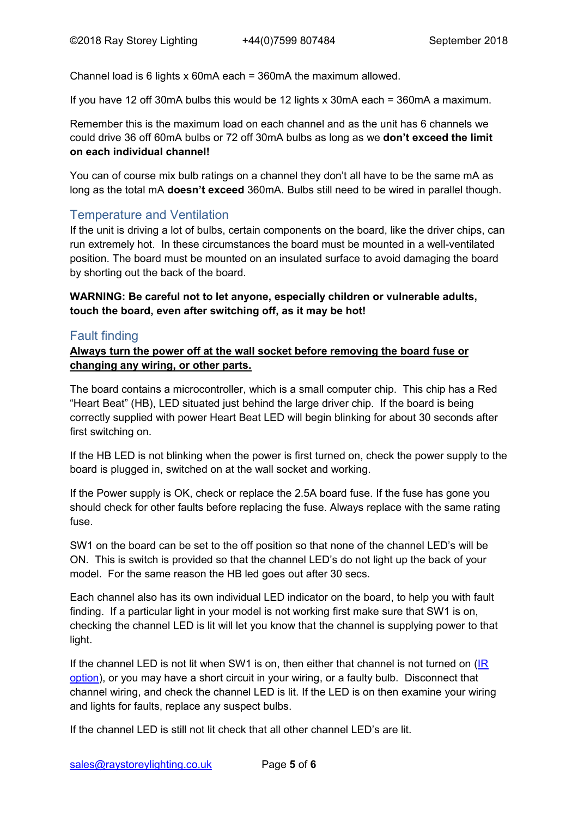Channel load is 6 lights x 60mA each = 360mA the maximum allowed.

If you have 12 off 30mA bulbs this would be 12 lights x 30mA each = 360mA a maximum.

Remember this is the maximum load on each channel and as the unit has 6 channels we could drive 36 off 60mA bulbs or 72 off 30mA bulbs as long as we **don't exceed the limit on each individual channel!**

You can of course mix bulb ratings on a channel they don't all have to be the same mA as long as the total mA **doesn't exceed** 360mA. Bulbs still need to be wired in parallel though.

# Temperature and Ventilation

If the unit is driving a lot of bulbs, certain components on the board, like the driver chips, can run extremely hot. In these circumstances the board must be mounted in a well-ventilated position. The board must be mounted on an insulated surface to avoid damaging the board by shorting out the back of the board.

**WARNING: Be careful not to let anyone, especially children or vulnerable adults, touch the board, even after switching off, as it may be hot!**

# Fault finding

**Always turn the power off at the wall socket before removing the board fuse or changing any wiring, or other parts.**

The board contains a microcontroller, which is a small computer chip. This chip has a Red "Heart Beat" (HB), LED situated just behind the large driver chip. If the board is being correctly supplied with power Heart Beat LED will begin blinking for about 30 seconds after first switching on.

If the HB LED is not blinking when the power is first turned on, check the power supply to the board is plugged in, switched on at the wall socket and working.

If the Power supply is OK, check or replace the 2.5A board fuse. If the fuse has gone you should check for other faults before replacing the fuse. Always replace with the same rating fuse.

SW1 on the board can be set to the off position so that none of the channel LED's will be ON. This is switch is provided so that the channel LED's do not light up the back of your model. For the same reason the HB led goes out after 30 secs.

Each channel also has its own individual LED indicator on the board, to help you with fault finding. If a particular light in your model is not working first make sure that SW1 is on, checking the channel LED is lit will let you know that the channel is supplying power to that light.

If the channel LED is not lit when SW1 is on, then either that channel is not turned on [\(IR](#page-2-1)  [option\)](#page-2-1), or you may have a short circuit in your wiring, or a faulty bulb. Disconnect that channel wiring, and check the channel LED is lit. If the LED is on then examine your wiring and lights for faults, replace any suspect bulbs.

If the channel LED is still not lit check that all other channel LED's are lit.